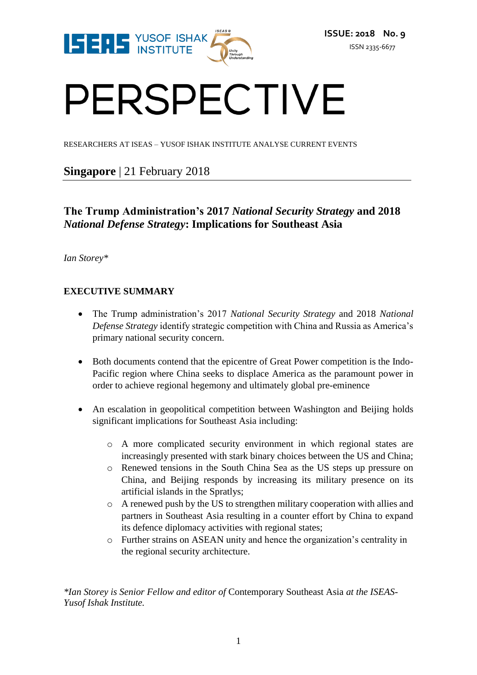

# PERSPECTIVE

RESEARCHERS AT ISEAS – YUSOF ISHAK INSTITUTE ANALYSE CURRENT EVENTS

# **Singapore** | 21 February 2018

# **The Trump Administration's 2017** *National Security Strategy* **and 2018**  *National Defense Strategy***: Implications for Southeast Asia**

*Ian Storey\**

## **EXECUTIVE SUMMARY**

- The Trump administration's 2017 *National Security Strategy* and 2018 *National Defense Strategy* identify strategic competition with China and Russia as America's primary national security concern.
- Both documents contend that the epicentre of Great Power competition is the Indo-Pacific region where China seeks to displace America as the paramount power in order to achieve regional hegemony and ultimately global pre-eminence
- An escalation in geopolitical competition between Washington and Beijing holds significant implications for Southeast Asia including:
	- o A more complicated security environment in which regional states are increasingly presented with stark binary choices between the US and China;
	- o Renewed tensions in the South China Sea as the US steps up pressure on China, and Beijing responds by increasing its military presence on its artificial islands in the Spratlys;
	- o A renewed push by the US to strengthen military cooperation with allies and partners in Southeast Asia resulting in a counter effort by China to expand its defence diplomacy activities with regional states;
	- o Further strains on ASEAN unity and hence the organization's centrality in the regional security architecture.

*\*Ian Storey is Senior Fellow and editor of* Contemporary Southeast Asia *at the ISEAS-Yusof Ishak Institute.*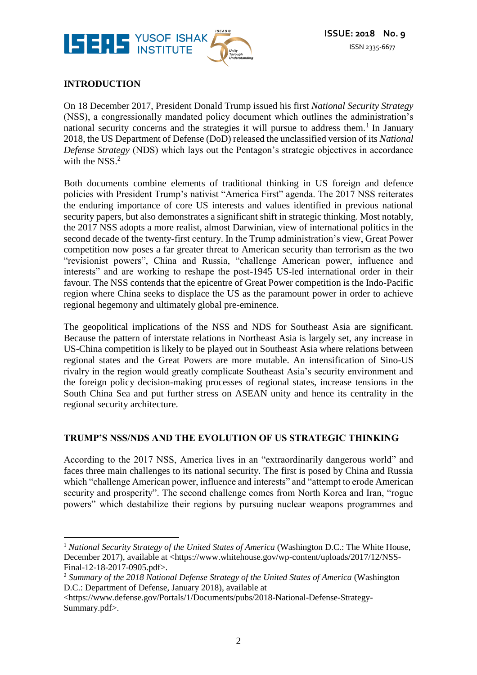

## **INTRODUCTION**

 $\overline{a}$ 

On 18 December 2017, President Donald Trump issued his first *National Security Strategy* (NSS), a congressionally mandated policy document which outlines the administration's national security concerns and the strategies it will pursue to address them.<sup>1</sup> In January 2018, the US Department of Defense (DoD) released the unclassified version of its *National Defense Strategy* (NDS) which lays out the Pentagon's strategic objectives in accordance with the NSS.<sup>2</sup>

Both documents combine elements of traditional thinking in US foreign and defence policies with President Trump's nativist "America First" agenda. The 2017 NSS reiterates the enduring importance of core US interests and values identified in previous national security papers, but also demonstrates a significant shift in strategic thinking. Most notably, the 2017 NSS adopts a more realist, almost Darwinian, view of international politics in the second decade of the twenty-first century. In the Trump administration's view, Great Power competition now poses a far greater threat to American security than terrorism as the two "revisionist powers", China and Russia, "challenge American power, influence and interests" and are working to reshape the post-1945 US-led international order in their favour. The NSS contends that the epicentre of Great Power competition is the Indo-Pacific region where China seeks to displace the US as the paramount power in order to achieve regional hegemony and ultimately global pre-eminence.

The geopolitical implications of the NSS and NDS for Southeast Asia are significant. Because the pattern of interstate relations in Northeast Asia is largely set, any increase in US-China competition is likely to be played out in Southeast Asia where relations between regional states and the Great Powers are more mutable. An intensification of Sino-US rivalry in the region would greatly complicate Southeast Asia's security environment and the foreign policy decision-making processes of regional states, increase tensions in the South China Sea and put further stress on ASEAN unity and hence its centrality in the regional security architecture.

#### **TRUMP'S NSS/NDS AND THE EVOLUTION OF US STRATEGIC THINKING**

According to the 2017 NSS, America lives in an "extraordinarily dangerous world" and faces three main challenges to its national security. The first is posed by China and Russia which "challenge American power, influence and interests" and "attempt to erode American security and prosperity". The second challenge comes from North Korea and Iran, "rogue powers" which destabilize their regions by pursuing nuclear weapons programmes and

<sup>&</sup>lt;sup>1</sup> *National Security Strategy of the United States of America* (Washington D.C.: The White House, December 2017), available at <https://www.whitehouse.gov/wp-content/uploads/2017/12/NSS-Final-12-18-2017-0905.pdf>.

<sup>&</sup>lt;sup>2</sup> Summary of the 2018 National Defense Strategy of the United States of America (Washington D.C.: Department of Defense, January 2018), available at

<sup>&</sup>lt;https://www.defense.gov/Portals/1/Documents/pubs/2018-National-Defense-Strategy-Summary.pdf>.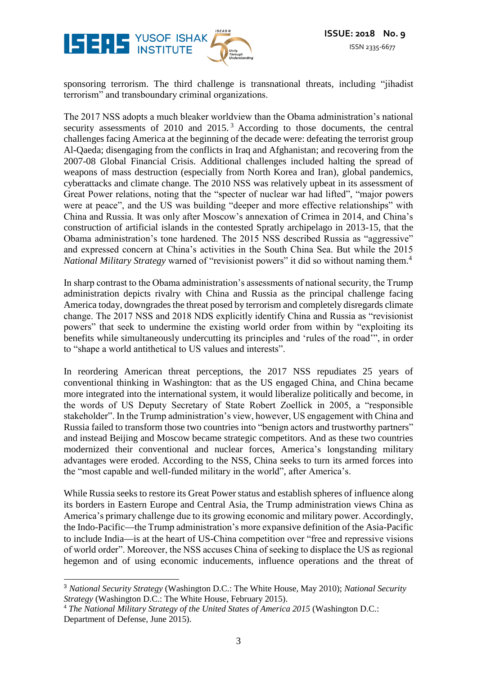

sponsoring terrorism. The third challenge is transnational threats, including "jihadist terrorism" and transboundary criminal organizations.

The 2017 NSS adopts a much bleaker worldview than the Obama administration's national security assessments of 2010 and 2015.<sup>3</sup> According to those documents, the central challenges facing America at the beginning of the decade were: defeating the terrorist group Al-Qaeda; disengaging from the conflicts in Iraq and Afghanistan; and recovering from the 2007-08 Global Financial Crisis. Additional challenges included halting the spread of weapons of mass destruction (especially from North Korea and Iran), global pandemics, cyberattacks and climate change. The 2010 NSS was relatively upbeat in its assessment of Great Power relations, noting that the "specter of nuclear war had lifted", "major powers were at peace", and the US was building "deeper and more effective relationships" with China and Russia. It was only after Moscow's annexation of Crimea in 2014, and China's construction of artificial islands in the contested Spratly archipelago in 2013-15, that the Obama administration's tone hardened. The 2015 NSS described Russia as "aggressive" and expressed concern at China's activities in the South China Sea. But while the 2015 *National Military Strategy* warned of "revisionist powers" it did so without naming them.<sup>4</sup>

In sharp contrast to the Obama administration's assessments of national security, the Trump administration depicts rivalry with China and Russia as the principal challenge facing America today, downgrades the threat posed by terrorism and completely disregards climate change. The 2017 NSS and 2018 NDS explicitly identify China and Russia as "revisionist powers" that seek to undermine the existing world order from within by "exploiting its benefits while simultaneously undercutting its principles and 'rules of the road'", in order to "shape a world antithetical to US values and interests".

In reordering American threat perceptions, the 2017 NSS repudiates 25 years of conventional thinking in Washington: that as the US engaged China, and China became more integrated into the international system, it would liberalize politically and become, in the words of US Deputy Secretary of State Robert Zoellick in 2005, a "responsible stakeholder". In the Trump administration's view, however, US engagement with China and Russia failed to transform those two countries into "benign actors and trustworthy partners" and instead Beijing and Moscow became strategic competitors. And as these two countries modernized their conventional and nuclear forces, America's longstanding military advantages were eroded. According to the NSS, China seeks to turn its armed forces into the "most capable and well-funded military in the world", after America's.

While Russia seeks to restore its Great Power status and establish spheres of influence along its borders in Eastern Europe and Central Asia, the Trump administration views China as America's primary challenge due to its growing economic and military power. Accordingly, the Indo-Pacific—the Trump administration's more expansive definition of the Asia-Pacific to include India—is at the heart of US-China competition over "free and repressive visions of world order". Moreover, the NSS accuses China of seeking to displace the US as regional hegemon and of using economic inducements, influence operations and the threat of

<sup>&</sup>lt;u>.</u> <sup>3</sup> *National Security Strategy* (Washington D.C.: The White House, May 2010); *National Security Strategy* (Washington D.C.: The White House, February 2015).

<sup>&</sup>lt;sup>4</sup> The National Military Strategy of the United States of America 2015 (Washington D.C.: Department of Defense, June 2015).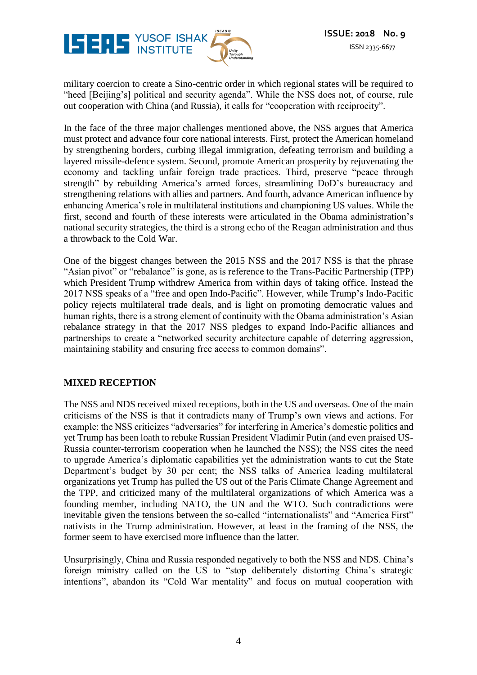

military coercion to create a Sino-centric order in which regional states will be required to "heed [Beijing's] political and security agenda". While the NSS does not, of course, rule out cooperation with China (and Russia), it calls for "cooperation with reciprocity".

In the face of the three major challenges mentioned above, the NSS argues that America must protect and advance four core national interests. First, protect the American homeland by strengthening borders, curbing illegal immigration, defeating terrorism and building a layered missile-defence system. Second, promote American prosperity by rejuvenating the economy and tackling unfair foreign trade practices. Third, preserve "peace through strength" by rebuilding America's armed forces, streamlining DoD's bureaucracy and strengthening relations with allies and partners. And fourth, advance American influence by enhancing America's role in multilateral institutions and championing US values. While the first, second and fourth of these interests were articulated in the Obama administration's national security strategies, the third is a strong echo of the Reagan administration and thus a throwback to the Cold War.

One of the biggest changes between the 2015 NSS and the 2017 NSS is that the phrase "Asian pivot" or "rebalance" is gone, as is reference to the Trans-Pacific Partnership (TPP) which President Trump withdrew America from within days of taking office. Instead the 2017 NSS speaks of a "free and open Indo-Pacific". However, while Trump's Indo-Pacific policy rejects multilateral trade deals, and is light on promoting democratic values and human rights, there is a strong element of continuity with the Obama administration's Asian rebalance strategy in that the 2017 NSS pledges to expand Indo-Pacific alliances and partnerships to create a "networked security architecture capable of deterring aggression, maintaining stability and ensuring free access to common domains".

#### **MIXED RECEPTION**

The NSS and NDS received mixed receptions, both in the US and overseas. One of the main criticisms of the NSS is that it contradicts many of Trump's own views and actions. For example: the NSS criticizes "adversaries" for interfering in America's domestic politics and yet Trump has been loath to rebuke Russian President Vladimir Putin (and even praised US-Russia counter-terrorism cooperation when he launched the NSS); the NSS cites the need to upgrade America's diplomatic capabilities yet the administration wants to cut the State Department's budget by 30 per cent; the NSS talks of America leading multilateral organizations yet Trump has pulled the US out of the Paris Climate Change Agreement and the TPP, and criticized many of the multilateral organizations of which America was a founding member, including NATO, the UN and the WTO. Such contradictions were inevitable given the tensions between the so-called "internationalists" and "America First" nativists in the Trump administration. However, at least in the framing of the NSS, the former seem to have exercised more influence than the latter.

Unsurprisingly, China and Russia responded negatively to both the NSS and NDS. China's foreign ministry called on the US to "stop deliberately distorting China's strategic intentions", abandon its "Cold War mentality" and focus on mutual cooperation with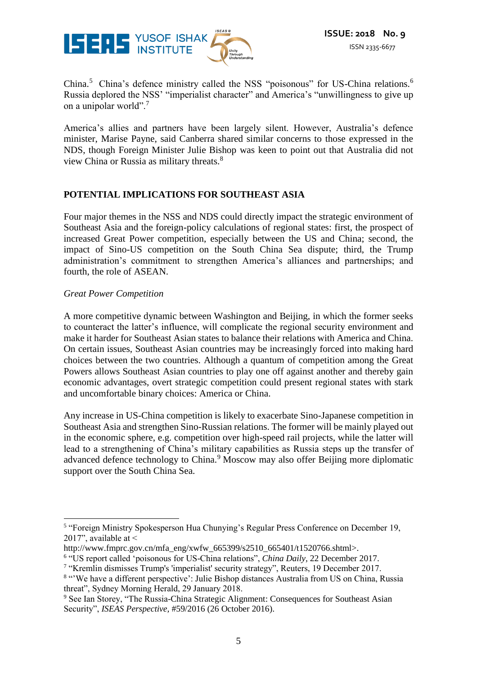

China.<sup>5</sup> China's defence ministry called the NSS "poisonous" for US-China relations.<sup>6</sup> Russia deplored the NSS' "imperialist character" and America's "unwillingness to give up on a unipolar world".<sup>7</sup>

America's allies and partners have been largely silent. However, Australia's defence minister, Marise Payne, said Canberra shared similar concerns to those expressed in the NDS, though Foreign Minister Julie Bishop was keen to point out that Australia did not view China or Russia as military threats.<sup>8</sup>

#### **POTENTIAL IMPLICATIONS FOR SOUTHEAST ASIA**

Four major themes in the NSS and NDS could directly impact the strategic environment of Southeast Asia and the foreign-policy calculations of regional states: first, the prospect of increased Great Power competition, especially between the US and China; second, the impact of Sino-US competition on the South China Sea dispute; third, the Trump administration's commitment to strengthen America's alliances and partnerships; and fourth, the role of ASEAN.

#### *Great Power Competition*

A more competitive dynamic between Washington and Beijing, in which the former seeks to counteract the latter's influence, will complicate the regional security environment and make it harder for Southeast Asian states to balance their relations with America and China. On certain issues, Southeast Asian countries may be increasingly forced into making hard choices between the two countries. Although a quantum of competition among the Great Powers allows Southeast Asian countries to play one off against another and thereby gain economic advantages, overt strategic competition could present regional states with stark and uncomfortable binary choices: America or China.

Any increase in US-China competition is likely to exacerbate Sino-Japanese competition in Southeast Asia and strengthen Sino-Russian relations. The former will be mainly played out in the economic sphere, e.g. competition over high-speed rail projects, while the latter will lead to a strengthening of China's military capabilities as Russia steps up the transfer of advanced defence technology to China.<sup>9</sup> Moscow may also offer Beijing more diplomatic support over the South China Sea.

<sup>&</sup>lt;u>.</u> <sup>5</sup> "Foreign Ministry Spokesperson Hua Chunying's Regular Press Conference on December 19, 2017", available at <

http://www.fmprc.gov.cn/mfa\_eng/xwfw\_665399/s2510\_665401/t1520766.shtml>.

<sup>6</sup> "US report called 'poisonous for US-China relations", *China Daily,* 22 December 2017.

<sup>&</sup>lt;sup>7</sup> "Kremlin dismisses Trump's 'imperialist' security strategy", Reuters, 19 December 2017.

<sup>&</sup>lt;sup>8</sup> "We have a different perspective': Julie Bishop distances Australia from US on China, Russia threat", Sydney Morning Herald, 29 January 2018.

<sup>&</sup>lt;sup>9</sup> See Ian Storey, "The Russia-China Strategic Alignment: Consequences for Southeast Asian Security", *ISEAS Perspective,* #59/2016 (26 October 2016).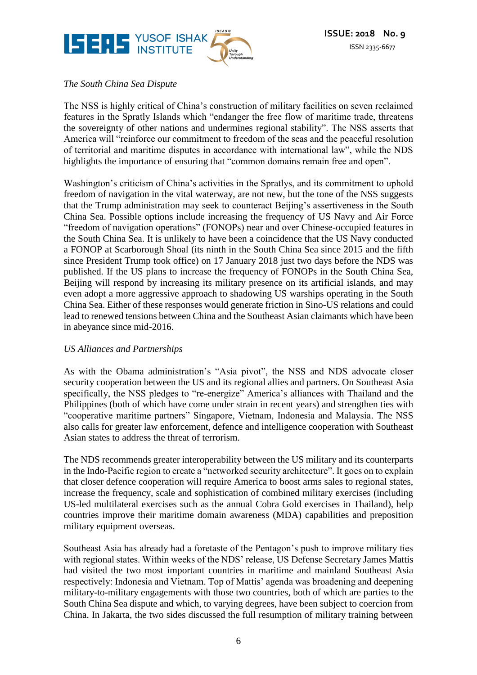

## *The South China Sea Dispute*

The NSS is highly critical of China's construction of military facilities on seven reclaimed features in the Spratly Islands which "endanger the free flow of maritime trade, threatens the sovereignty of other nations and undermines regional stability". The NSS asserts that America will "reinforce our commitment to freedom of the seas and the peaceful resolution of territorial and maritime disputes in accordance with international law", while the NDS highlights the importance of ensuring that "common domains remain free and open".

Washington's criticism of China's activities in the Spratlys, and its commitment to uphold freedom of navigation in the vital waterway, are not new, but the tone of the NSS suggests that the Trump administration may seek to counteract Beijing's assertiveness in the South China Sea. Possible options include increasing the frequency of US Navy and Air Force "freedom of navigation operations" (FONOPs) near and over Chinese-occupied features in the South China Sea. It is unlikely to have been a coincidence that the US Navy conducted a FONOP at Scarborough Shoal (its ninth in the South China Sea since 2015 and the fifth since President Trump took office) on 17 January 2018 just two days before the NDS was published. If the US plans to increase the frequency of FONOPs in the South China Sea, Beijing will respond by increasing its military presence on its artificial islands, and may even adopt a more aggressive approach to shadowing US warships operating in the South China Sea. Either of these responses would generate friction in Sino-US relations and could lead to renewed tensions between China and the Southeast Asian claimants which have been in abeyance since mid-2016.

#### *US Alliances and Partnerships*

As with the Obama administration's "Asia pivot", the NSS and NDS advocate closer security cooperation between the US and its regional allies and partners. On Southeast Asia specifically, the NSS pledges to "re-energize" America's alliances with Thailand and the Philippines (both of which have come under strain in recent years) and strengthen ties with "cooperative maritime partners" Singapore, Vietnam, Indonesia and Malaysia. The NSS also calls for greater law enforcement, defence and intelligence cooperation with Southeast Asian states to address the threat of terrorism.

The NDS recommends greater interoperability between the US military and its counterparts in the Indo-Pacific region to create a "networked security architecture". It goes on to explain that closer defence cooperation will require America to boost arms sales to regional states, increase the frequency, scale and sophistication of combined military exercises (including US-led multilateral exercises such as the annual Cobra Gold exercises in Thailand), help countries improve their maritime domain awareness (MDA) capabilities and preposition military equipment overseas.

Southeast Asia has already had a foretaste of the Pentagon's push to improve military ties with regional states. Within weeks of the NDS' release, US Defense Secretary James Mattis had visited the two most important countries in maritime and mainland Southeast Asia respectively: Indonesia and Vietnam. Top of Mattis' agenda was broadening and deepening military-to-military engagements with those two countries, both of which are parties to the South China Sea dispute and which, to varying degrees, have been subject to coercion from China. In Jakarta, the two sides discussed the full resumption of military training between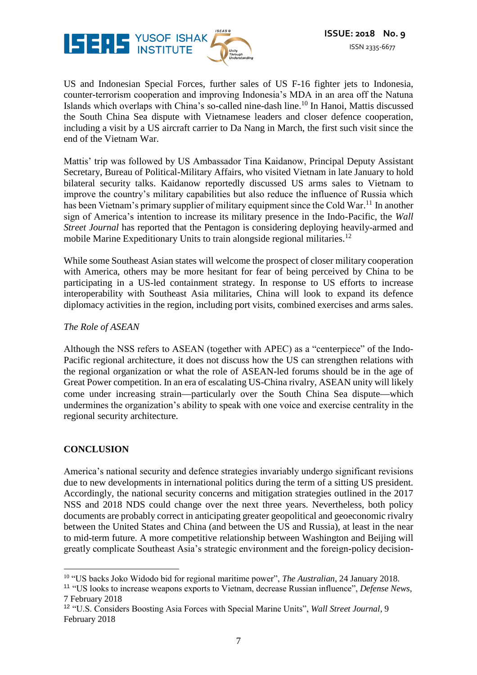

US and Indonesian Special Forces, further sales of US F-16 fighter jets to Indonesia, counter-terrorism cooperation and improving Indonesia's MDA in an area off the Natuna Islands which overlaps with China's so-called nine-dash line.<sup>10</sup> In Hanoi, Mattis discussed the South China Sea dispute with Vietnamese leaders and closer defence cooperation, including a visit by a US aircraft carrier to Da Nang in March, the first such visit since the end of the Vietnam War.

Mattis' trip was followed by US Ambassador Tina Kaidanow, Principal Deputy Assistant Secretary, Bureau of Political-Military Affairs, who visited Vietnam in late January to hold bilateral security talks. Kaidanow reportedly discussed US arms sales to Vietnam to improve the country's military capabilities but also reduce the influence of Russia which has been Vietnam's primary supplier of military equipment since the Cold War.<sup>11</sup> In another sign of America's intention to increase its military presence in the Indo-Pacific, the *Wall Street Journal* has reported that the Pentagon is considering deploying heavily-armed and mobile Marine Expeditionary Units to train alongside regional militaries.<sup>12</sup>

While some Southeast Asian states will welcome the prospect of closer military cooperation with America, others may be more hesitant for fear of being perceived by China to be participating in a US-led containment strategy. In response to US efforts to increase interoperability with Southeast Asia militaries, China will look to expand its defence diplomacy activities in the region, including port visits, combined exercises and arms sales.

#### *The Role of ASEAN*

Although the NSS refers to ASEAN (together with APEC) as a "centerpiece" of the Indo-Pacific regional architecture, it does not discuss how the US can strengthen relations with the regional organization or what the role of ASEAN-led forums should be in the age of Great Power competition. In an era of escalating US-China rivalry, ASEAN unity will likely come under increasing strain—particularly over the South China Sea dispute—which undermines the organization's ability to speak with one voice and exercise centrality in the regional security architecture.

#### **CONCLUSION**

America's national security and defence strategies invariably undergo significant revisions due to new developments in international politics during the term of a sitting US president. Accordingly, the national security concerns and mitigation strategies outlined in the 2017 NSS and 2018 NDS could change over the next three years. Nevertheless, both policy documents are probably correct in anticipating greater geopolitical and geoeconomic rivalry between the United States and China (and between the US and Russia), at least in the near to mid-term future. A more competitive relationship between Washington and Beijing will greatly complicate Southeast Asia's strategic environment and the foreign-policy decision-

<sup>&</sup>lt;u>.</u> <sup>10</sup> "US backs Joko Widodo bid for regional maritime power", *The Australian*, 24 January 2018.

<sup>11</sup> "US looks to increase weapons exports to Vietnam, decrease Russian influence", *Defense News*, 7 February 2018

<sup>12</sup> "U.S. Considers Boosting Asia Forces with Special Marine Units", *Wall Street Journal*, 9 February 2018